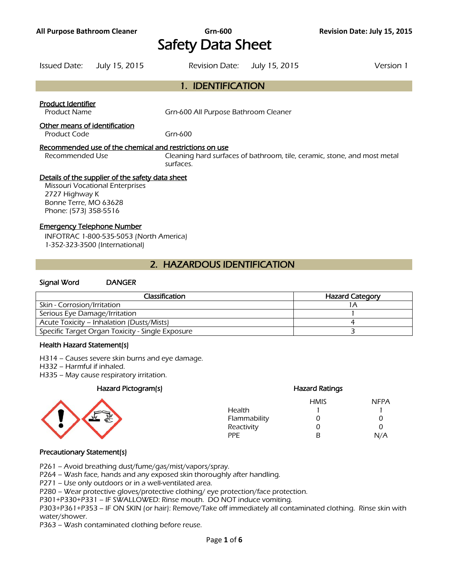# **All Purpose Bathroom Cleaner Grn-600 Revision Date: July 15, 2015**  Safety Data Sheet

Issued Date: July 15, 2015 Revision Date: July 15, 2015 Version 1 1. IDENTIFICATION Product Identifier Product Name Grn-600 All Purpose Bathroom Cleaner Other means of identification Product Code Grn-600 Recommended use of the chemical and restrictions on use Recommended Use Cleaning hard surfaces of bathroom, tile, ceramic, stone, and most metal surfaces. Details of the supplier of the safety data sheet Missouri Vocational Enterprises 2727 Highway K Bonne Terre, MO 63628 Phone: (573) 358-5516

#### Emergency Telephone Number

INFOTRAC 1-800-535-5053 (North America) 1-352-323-3500 (International)

## 2. HAZARDOUS IDENTIFICATION

#### Signal Word DANGER

| Classification                                   | <b>Hazard Category</b> |
|--------------------------------------------------|------------------------|
| Skin - Corrosion/Irritation                      |                        |
| Serious Eye Damage/Irritation                    |                        |
| Acute Toxicity – Inhalation (Dusts/Mists)        |                        |
| Specific Target Organ Toxicity - Single Exposure |                        |
|                                                  |                        |

#### Health Hazard Statement(s)

H314 – Causes severe skin burns and eye damage.

H332 – Harmful if inhaled.

H335 – May cause respiratory irritation.

#### Hazard Pictogram(s)



|              | <b>Hazard Ratings</b> |             |  |
|--------------|-----------------------|-------------|--|
|              | <b>HMIS</b>           | <b>NFPA</b> |  |
| Health       |                       |             |  |
| Flammability | 0                     | O           |  |
| Reactivity   | O                     | 0           |  |
| PPF          | R                     | N/A         |  |
|              |                       |             |  |

#### Precautionary Statement(s)

P261 – Avoid breathing dust/fume/gas/mist/vapors/spray.

P264 – Wash face, hands and any exposed skin thoroughly after handling.

P271 – Use only outdoors or in a well-ventilated area.

P280 – Wear protective gloves/protective clothing/ eye protection/face protection.

P301+P330+P331 – IF SWALLOWED: Rinse mouth. DO NOT induce vomiting.

P303+P361+P353 – IF ON SKIN (or hair): Remove/Take off immediately all contaminated clothing. Rinse skin with water/shower.

P363 – Wash contaminated clothing before reuse.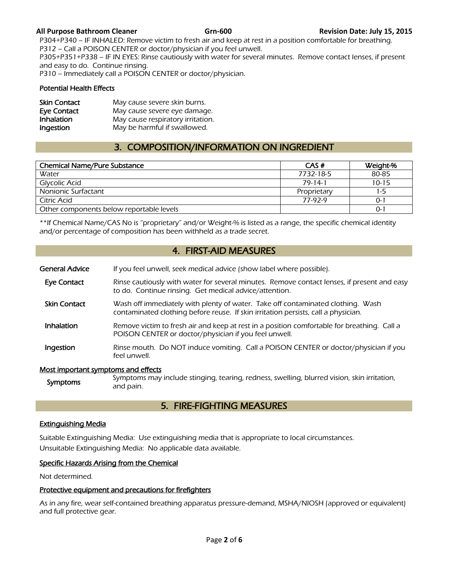#### **All Purpose Bathroom Cleaner Grn-600 Revision Date: July 15, 2015**

P304+P340 – IF INHALED: Remove victim to fresh air and keep at rest in a position comfortable for breathing. P312 – Call a POISON CENTER or doctor/physician if you feel unwell. P305+P351+P338 – IF IN EYES: Rinse cautiously with water for several minutes. Remove contact lenses, if present and easy to do. Continue rinsing. P310 – Immediately call a POISON CENTER or doctor/physician.

#### Potential Health Effects

| <b>Skin Contact</b> | May cause severe skin burns.      |
|---------------------|-----------------------------------|
| Eye Contact         | May cause severe eye damage.      |
| Inhalation          | May cause respiratory irritation. |
| Ingestion           | May be harmful if swallowed.      |

## 3. COMPOSITION/INFORMATION ON INGREDIENT

| <b>Chemical Name/Pure Substance</b>      | CAS#        | Weight-%  |
|------------------------------------------|-------------|-----------|
| Water                                    | 7732-18-5   | 80-85     |
| Glycolic Acid                            | 79-14-1     | $10 - 15$ |
| Nonionic Surfactant                      | Proprietary | $1-5$     |
| Citric Acid                              | 77-97-9     | 0-1       |
| Other components below reportable levels |             | $0 - 1$   |
|                                          |             |           |

\*\*If Chemical Name/CAS No is "proprietary" and/or Weight-% is listed as a range, the specific chemical identity and/or percentage of composition has been withheld as a trade secret.

## 4. FIRST-AID MEASURES

- General Advice If you feel unwell, seek medical advice (show label where possible).
- Eye Contact Rinse cautiously with water for several minutes. Remove contact lenses, if present and easy to do. Continue rinsing. Get medical advice/attention.
- **Skin Contact** Wash off immediately with plenty of water. Take off contaminated clothing. Wash contaminated clothing before reuse. If skin irritation persists, call a physician.
- Inhalation Remove victim to fresh air and keep at rest in a position comfortable for breathing. Call a POISON CENTER or doctor/physician if you feel unwell.
- Ingestion Rinse mouth. Do NOT induce vomiting. Call a POISON CENTER or doctor/physician if you feel unwell.

#### Most important symptoms and effects

Symptoms may include stinging, tearing, redness, swelling, blurred vision, skin irritation, symptoms and pain.

## 5. FIRE-FIGHTING MEASURES

#### Extinguishing Media

Suitable Extinguishing Media: Use extinguishing media that is appropriate to local circumstances. Unsuitable Extinguishing Media: No applicable data available.

#### Specific Hazards Arising from the Chemical

Not determined.

#### Protective equipment and precautions for firefighters

As in any fire, wear self-contained breathing apparatus pressure-demand, MSHA/NIOSH (approved or equivalent) and full protective gear.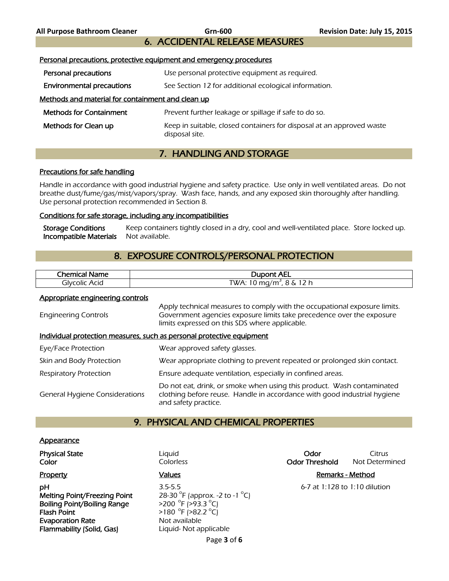6. ACCIDENTAL RELEASE MEASURES

| Personal precautions, protective equipment and emergency procedures |                                                                                         |  |  |
|---------------------------------------------------------------------|-----------------------------------------------------------------------------------------|--|--|
| Personal precautions                                                | Use personal protective equipment as required.                                          |  |  |
| <b>Environmental precautions</b>                                    | See Section 12 for additional ecological information.                                   |  |  |
| Methods and material for containment and clean up                   |                                                                                         |  |  |
| <b>Methods for Containment</b>                                      | Prevent further leakage or spillage if safe to do so.                                   |  |  |
| Methods for Clean up                                                | Keep in suitable, closed containers for disposal at an approved waste<br>disposal site. |  |  |

# 7. HANDLING AND STORAGE

#### Precautions for safe handling

Handle in accordance with good industrial hygiene and safety practice. Use only in well ventilated areas. Do not breathe dust/fume/gas/mist/vapors/spray. Wash face, hands, and any exposed skin thoroughly after handling. Use personal protection recommended in Section 8.

#### Conditions for safe storage, including any incompatibilities

Storage Conditions Keep containers tightly closed in a dry, cool and well-ventilated place. Store locked up. Incompatible Materials Not available.

## 8. EXPOSURE CONTROLS/PERSONAL PROTECTION

| Chemica.<br>Name<br>ÆН | <b>Dupont AEL</b>                                    |
|------------------------|------------------------------------------------------|
| Acid<br>olvcolicد      | つん<br>[WA: 10 mg/m $^{\circ}$<br>Λ.<br>ັ<br><u>.</u> |
|                        |                                                      |

#### Appropriate engineering controls

| <b>Engineering Controls</b>                                           | Apply technical measures to comply with the occupational exposure limits.<br>Government agencies exposure limits take precedence over the exposure<br>limits expressed on this SDS where applicable. |  |  |
|-----------------------------------------------------------------------|------------------------------------------------------------------------------------------------------------------------------------------------------------------------------------------------------|--|--|
| Individual protection measures, such as personal protective equipment |                                                                                                                                                                                                      |  |  |
| Eye/Face Protection                                                   | Wear approved safety glasses.                                                                                                                                                                        |  |  |
| Skin and Body Protection                                              | Wear appropriate clothing to prevent repeated or prolonged skin contact.                                                                                                                             |  |  |
| <b>Respiratory Protection</b>                                         | Ensure adequate ventilation, especially in confined areas.                                                                                                                                           |  |  |
| <b>General Hygiene Considerations</b>                                 | Do not eat, drink, or smoke when using this product. Wash contaminated<br>clothing before reuse. Handle in accordance with good industrial hygiene<br>and safety practice.                           |  |  |

## 9. PHYSICAL AND CHEMICAL PROPERTIES

#### **Appearance**

**pH** 3.5-5.5 6-7 at 1:128 to 1:10 dilution Melting Point/Freezing Point Boiling Point/Boiling Range Flash Point **Evaporation Rate** Not available Flammability (Solid, Gas) Liquid- Not applicable

F (approx. -2 to -1  $^{\circ}$ C) F (>93.3 °C)  $F( >82.2 °C)$ 

**Physical State Citrus Citrus Liquid Citrus Contract Citrus Citrus Citrus Color Color Colorless Color Color Color Color Threshold** Not Determined

### Property **Contract Contract Contract Contract Contract Contract Contract Contract Contract Contract Contract Contract Contract Contract Contract Contract Contract Contract Contract Contract Contract Contract Contract Contr**

Page **3** of **6**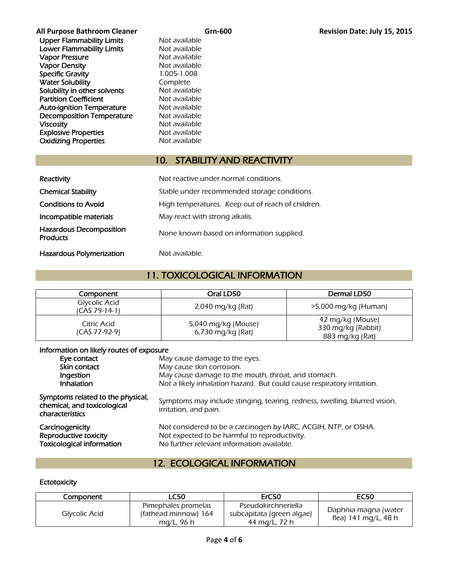Upper Flammability Limits Not available Lower Flammability Limits<br>
Vapor Pressure<br>
Not available Vapor Pressure<br>
Vapor Density<br>
Vapor Density<br>
Vapor Density Vapor Density Specific Gravity 1.005-1.008 Water Solubility **Complete** Solubility in other solvents Not available Partition Coefficient Not available Auto-ignition Temperature Mot available Decomposition Temperature Mot available Viscosity **Not available** Not available Explosive Properties<br>
Oxidizing Properties<br>
Not available **Oxidizing Properties** 

## 10. STABILITY AND REACTIVITY

| Reactivity                                        | Not reactive under normal conditions.             |  |
|---------------------------------------------------|---------------------------------------------------|--|
| <b>Chemical Stability</b>                         | Stable under recommended storage conditions.      |  |
| <b>Conditions to Avoid</b>                        | High temperatures. Keep out of reach of children. |  |
| Incompatible materials                            | May react with strong alkalis.                    |  |
| <b>Hazardous Decomposition</b><br><b>Products</b> | None known based on information supplied.         |  |
| <b>Hazardous Polymerization</b>                   | Not available.                                    |  |

## 11. TOXICOLOGICAL INFORMATION

| Component                      | Oral LD50                                | Dermal LD50                                               |
|--------------------------------|------------------------------------------|-----------------------------------------------------------|
| Glycolic Acid<br>ICAS 79-14-11 | 2,040 mg/kg (Rat)                        | $>5,000$ mg/kg (Human)                                    |
| Citric Acid<br>(CAS 77-92-9)   | 5,040 mg/kg (Mouse)<br>6,730 mg/kg (Rat) | 42 mg/kg (Mouse)<br>330 mg/kg (Rabbit)<br>883 mg/kg (Rat) |

#### Information on likely routes of exposure

| Eye contact                                                                         | May cause damage to the eyes.                                                                                                                                  |  |
|-------------------------------------------------------------------------------------|----------------------------------------------------------------------------------------------------------------------------------------------------------------|--|
| Skin contact                                                                        | May cause skin corrosion.                                                                                                                                      |  |
| Ingestion                                                                           | May cause damage to the mouth, throat, and stomach.                                                                                                            |  |
| Inhalation                                                                          | Not a likely inhalation hazard. But could cause respiratory irritation.                                                                                        |  |
| Symptoms related to the physical,<br>chemical, and toxicological<br>characteristics | Symptoms may include stinging, tearing, redness, swelling, blurred vision,<br>irritation, and pain.                                                            |  |
| Carcinogenicity<br>Reproductive toxicity<br><b>Toxicological information</b>        | Not considered to be a carcinogen by IARC, ACGIH, NTP, or OSHA.<br>Not expected to be harmful to reproductivity.<br>No further relevant information available. |  |

## 12. ECOLOGICAL INFORMATION

### **Ectotoxicity**

| Component     | <b>LC50</b>                                               | ErC50                                                             | <b>EC50</b>                                  |
|---------------|-----------------------------------------------------------|-------------------------------------------------------------------|----------------------------------------------|
| Glycolic Acid | Pimephales promelas<br>(fathead minnow) 164<br>mg/L, 96 h | Pseudokirchneriella<br>subcapitata (green algae)<br>44 mg/L, 72 h | Daphnia magna (water<br>flea) 141 mg/L, 48 h |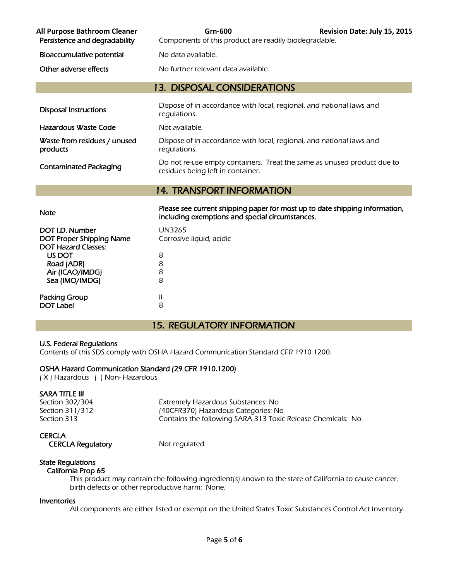| All Purpose Bathroom Cleaner<br>Persistence and degradability | Grn-600<br>Components of this product are readily biodegradable.                                                               | Revision Date: July 15, 2015 |
|---------------------------------------------------------------|--------------------------------------------------------------------------------------------------------------------------------|------------------------------|
| Bioaccumulative potential                                     | No data available.                                                                                                             |                              |
| Other adverse effects                                         | No further relevant data available.                                                                                            |                              |
|                                                               | <b>13. DISPOSAL CONSIDERATIONS</b>                                                                                             |                              |
| <b>Disposal Instructions</b>                                  | Dispose of in accordance with local, regional, and national laws and<br>regulations.                                           |                              |
| Hazardous Waste Code                                          | Not available.                                                                                                                 |                              |
| Waste from residues / unused<br>products                      | Dispose of in accordance with local, regional, and national laws and<br>regulations.                                           |                              |
| <b>Contaminated Packaging</b>                                 | Do not re-use empty containers. Treat the same as unused product due to<br>residues being left in container.                   |                              |
|                                                               | <b>14. TRANSPORT INFORMATION</b>                                                                                               |                              |
| <b>Note</b>                                                   | Please see current shipping paper for most up to date shipping information,<br>including exemptions and special circumstances. |                              |

| DOT I.D. Number<br><b>DOT Proper Shipping Name</b> | UN3265<br>Corrosive liquid, acidic |
|----------------------------------------------------|------------------------------------|
| <b>DOT Hazard Classes:</b>                         |                                    |
| US DOT                                             | 8                                  |
| Road (ADR)                                         | 8                                  |
| Air (ICAO/IMDG)                                    | 8                                  |
| Sea (IMO/IMDG)                                     | 8                                  |
| <b>Packing Group</b>                               | Ш                                  |
| <b>DOT Label</b>                                   | 8                                  |

## 15. REGULATORY INFORMATION

#### U.S. Federal Regulations

Contents of this SDS comply with OSHA Hazard Communication Standard CFR 1910.1200.

#### OSHA Hazard Communication Standard (29 CFR 1910.1200)

( X ) Hazardous ( ) Non- Hazardous

#### SARA TITLE III

Section 302/304 Extremely Hazardous Substances: No Section 311/312 (40CFR370) Hazardous Categories: No Section 313 Contains the following SARA 313 Toxic Release Chemicals: No

#### **CERCLA**

CERCLA Regulatory Mot regulated.

#### State Regulations California Prop 65

 This product may contain the following ingredient(s) known to the state of California to cause cancer, birth defects or other reproductive harm: None.

#### Inventories

All components are either listed or exempt on the United States Toxic Substances Control Act Inventory.